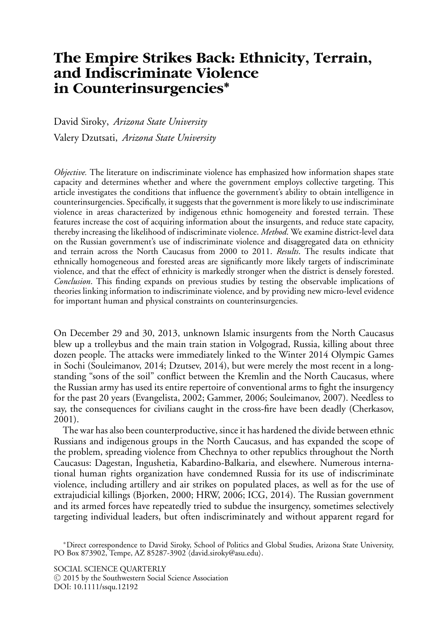# **The Empire Strikes Back: Ethnicity, Terrain, and Indiscriminate Violence in Counterinsurgencies<sup>∗</sup>**

David Siroky, *Arizona State University* Valery Dzutsati, *Arizona State University*

*Objective.* The literature on indiscriminate violence has emphasized how information shapes state capacity and determines whether and where the government employs collective targeting. This article investigates the conditions that influence the government's ability to obtain intelligence in counterinsurgencies. Specifically, it suggests that the government is more likely to use indiscriminate violence in areas characterized by indigenous ethnic homogeneity and forested terrain. These features increase the cost of acquiring information about the insurgents, and reduce state capacity, thereby increasing the likelihood of indiscriminate violence. *Method*. We examine district-level data on the Russian government's use of indiscriminate violence and disaggregated data on ethnicity and terrain across the North Caucasus from 2000 to 2011. *Results*. The results indicate that ethnically homogeneous and forested areas are significantly more likely targets of indiscriminate violence, and that the effect of ethnicity is markedly stronger when the district is densely forested. *Conclusion*. This finding expands on previous studies by testing the observable implications of theories linking information to indiscriminate violence, and by providing new micro-level evidence for important human and physical constraints on counterinsurgencies.

On December 29 and 30, 2013, unknown Islamic insurgents from the North Caucasus blew up a trolleybus and the main train station in Volgograd, Russia, killing about three dozen people. The attacks were immediately linked to the Winter 2014 Olympic Games in Sochi (Souleimanov, 2014; Dzutsev, 2014), but were merely the most recent in a longstanding "sons of the soil" conflict between the Kremlin and the North Caucasus, where the Russian army has used its entire repertoire of conventional arms to fight the insurgency for the past 20 years (Evangelista, 2002; Gammer, 2006; Souleimanov, 2007). Needless to say, the consequences for civilians caught in the cross-fire have been deadly (Cherkasov, 2001).

The war has also been counterproductive, since it has hardened the divide between ethnic Russians and indigenous groups in the North Caucasus, and has expanded the scope of the problem, spreading violence from Chechnya to other republics throughout the North Caucasus: Dagestan, Ingushetia, Kabardino-Balkaria, and elsewhere. Numerous international human rights organization have condemned Russia for its use of indiscriminate violence, including artillery and air strikes on populated places, as well as for the use of extrajudicial killings (Bjorken, 2000; HRW, 2006; ICG, 2014). The Russian government and its armed forces have repeatedly tried to subdue the insurgency, sometimes selectively targeting individual leaders, but often indiscriminately and without apparent regard for

<sup>∗</sup>Direct correspondence to David Siroky, School of Politics and Global Studies, Arizona State University, PO Box 873902, Tempe, AZ 85287-3902 (david.siroky@asu.edu).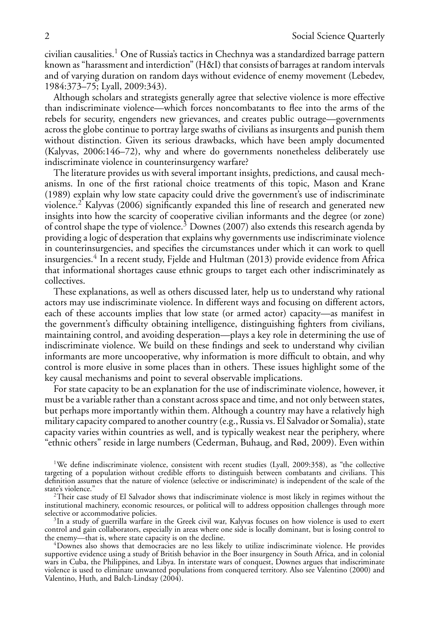civilian causalities.<sup>1</sup> One of Russia's tactics in Chechnya was a standardized barrage pattern known as "harassment and interdiction" (H&I) that consists of barrages at random intervals and of varying duration on random days without evidence of enemy movement (Lebedev, 1984:373–75; Lyall, 2009:343).

Although scholars and strategists generally agree that selective violence is more effective than indiscriminate violence—which forces noncombatants to flee into the arms of the rebels for security, engenders new grievances, and creates public outrage—governments across the globe continue to portray large swaths of civilians as insurgents and punish them without distinction. Given its serious drawbacks, which have been amply documented (Kalyvas, 2006:146–72), why and where do governments nonetheless deliberately use indiscriminate violence in counterinsurgency warfare?

The literature provides us with several important insights, predictions, and causal mechanisms. In one of the first rational choice treatments of this topic, Mason and Krane (1989) explain why low state capacity could drive the government's use of indiscriminate violence.<sup>2</sup> Kalyvas (2006) significantly expanded this line of research and generated new insights into how the scarcity of cooperative civilian informants and the degree (or zone) of control shape the type of violence.<sup>3</sup> Downes (2007) also extends this research agenda by providing a logic of desperation that explains why governments use indiscriminate violence in counterinsurgencies, and specifies the circumstances under which it can work to quell insurgencies.<sup>4</sup> In a recent study, Fjelde and Hultman (2013) provide evidence from Africa that informational shortages cause ethnic groups to target each other indiscriminately as collectives.

These explanations, as well as others discussed later, help us to understand why rational actors may use indiscriminate violence. In different ways and focusing on different actors, each of these accounts implies that low state (or armed actor) capacity—as manifest in the government's difficulty obtaining intelligence, distinguishing fighters from civilians, maintaining control, and avoiding desperation—plays a key role in determining the use of indiscriminate violence. We build on these findings and seek to understand why civilian informants are more uncooperative, why information is more difficult to obtain, and why control is more elusive in some places than in others. These issues highlight some of the key causal mechanisms and point to several observable implications.

For state capacity to be an explanation for the use of indiscriminate violence, however, it must be a variable rather than a constant across space and time, and not only between states, but perhaps more importantly within them. Although a country may have a relatively high military capacity compared to another country (e.g., Russia vs. El Salvador or Somalia), state capacity varies within countries as well, and is typically weakest near the periphery, where "ethnic others" reside in large numbers (Cederman, Buhaug, and Rød, 2009). Even within

<sup>1</sup>We define indiscriminate violence, consistent with recent studies (Lyall, 2009:358), as "the collective targeting of a population without credible efforts to distinguish between combatants and civilians. This definition assumes that the nature of violence (selective or indiscriminate) is independent of the scale of the

 $^2$ Their case study of El Salvador shows that indiscriminate violence is most likely in regimes without the institutional machinery, economic resources, or political will to address opposition challenges through more

 $3$ In a study of guerrilla warfare in the Greek civil war, Kalyvas focuses on how violence is used to exert control and gain collaborators, especially in areas where one side is locally dominant, but is losing control to

 $t_{\text{Downes}}$  also shows that democracies are no less likely to utilize indiscriminate violence. He provides supportive evidence using a study of British behavior in the Boer insurgency in South Africa, and in colonial wars in Cuba, the Philippines, and Libya. In interstate wars of conquest, Downes argues that indiscriminate violence is used to eliminate unwanted populations from conquered territory. Also see Valentino (2000) and Valentino, Huth, and Balch-Lindsay  $(2004)$ .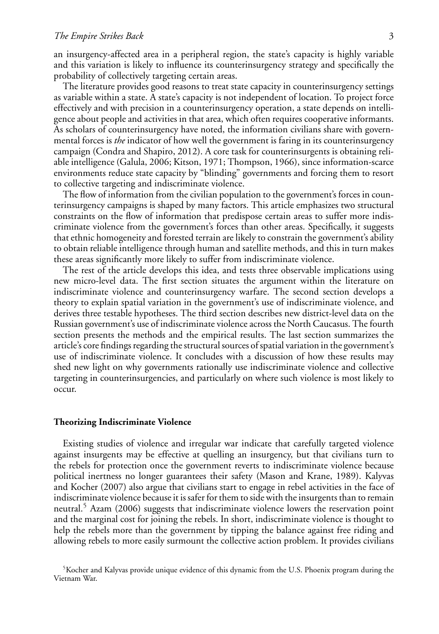## *The Empire Strikes Back* 3

an insurgency-affected area in a peripheral region, the state's capacity is highly variable and this variation is likely to influence its counterinsurgency strategy and specifically the probability of collectively targeting certain areas.

The literature provides good reasons to treat state capacity in counterinsurgency settings as variable within a state. A state's capacity is not independent of location. To project force effectively and with precision in a counterinsurgency operation, a state depends on intelligence about people and activities in that area, which often requires cooperative informants. As scholars of counterinsurgency have noted, the information civilians share with governmental forces is *the* indicator of how well the government is faring in its counterinsurgency campaign (Condra and Shapiro, 2012). A core task for counterinsurgents is obtaining reliable intelligence (Galula, 2006; Kitson, 1971; Thompson, 1966), since information-scarce environments reduce state capacity by "blinding" governments and forcing them to resort to collective targeting and indiscriminate violence.

The flow of information from the civilian population to the government's forces in counterinsurgency campaigns is shaped by many factors. This article emphasizes two structural constraints on the flow of information that predispose certain areas to suffer more indiscriminate violence from the government's forces than other areas. Specifically, it suggests that ethnic homogeneity and forested terrain are likely to constrain the government's ability to obtain reliable intelligence through human and satellite methods, and this in turn makes these areas significantly more likely to suffer from indiscriminate violence.

The rest of the article develops this idea, and tests three observable implications using new micro-level data. The first section situates the argument within the literature on indiscriminate violence and counterinsurgency warfare. The second section develops a theory to explain spatial variation in the government's use of indiscriminate violence, and derives three testable hypotheses. The third section describes new district-level data on the Russian government's use of indiscriminate violence across the North Caucasus. The fourth section presents the methods and the empirical results. The last section summarizes the article's core findings regarding the structural sources of spatial variation in the government's use of indiscriminate violence. It concludes with a discussion of how these results may shed new light on why governments rationally use indiscriminate violence and collective targeting in counterinsurgencies, and particularly on where such violence is most likely to occur.

#### **Theorizing Indiscriminate Violence**

Existing studies of violence and irregular war indicate that carefully targeted violence against insurgents may be effective at quelling an insurgency, but that civilians turn to the rebels for protection once the government reverts to indiscriminate violence because political inertness no longer guarantees their safety (Mason and Krane, 1989). Kalyvas and Kocher (2007) also argue that civilians start to engage in rebel activities in the face of indiscriminate violence because it is safer for them to side with the insurgents than to remain neutral.<sup>5</sup> Azam (2006) suggests that indiscriminate violence lowers the reservation point and the marginal cost for joining the rebels. In short, indiscriminate violence is thought to help the rebels more than the government by tipping the balance against free riding and allowing rebels to more easily surmount the collective action problem. It provides civilians

 $5K$ ocher and Kalyvas provide unique evidence of this dynamic from the U.S. Phoenix program during the Vietnam War.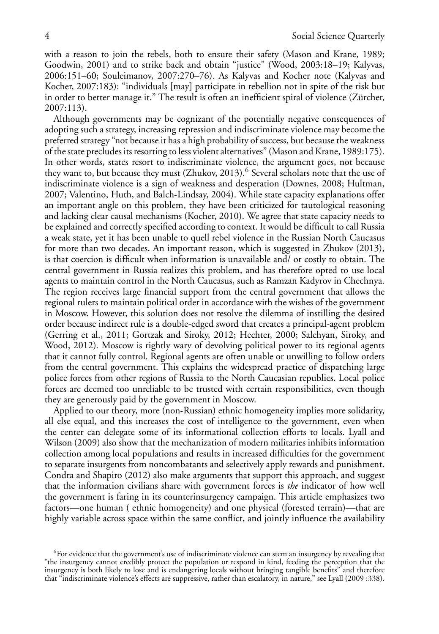with a reason to join the rebels, both to ensure their safety (Mason and Krane, 1989; Goodwin, 2001) and to strike back and obtain "justice" (Wood, 2003:18–19; Kalyvas, 2006:151–60; Souleimanov, 2007:270–76). As Kalyvas and Kocher note (Kalyvas and Kocher, 2007:183): "individuals [may] participate in rebellion not in spite of the risk but in order to better manage it." The result is often an inefficient spiral of violence (Zürcher, 2007:113).

Although governments may be cognizant of the potentially negative consequences of adopting such a strategy, increasing repression and indiscriminate violence may become the preferred strategy "not because it has a high probability of success, but because the weakness of the state precludes its resorting to less violent alternatives" (Mason and Krane, 1989:175). In other words, states resort to indiscriminate violence, the argument goes, not because they want to, but because they must (Zhukov, 2013).<sup>6</sup> Several scholars note that the use of indiscriminate violence is a sign of weakness and desperation (Downes, 2008; Hultman, 2007; Valentino, Huth, and Balch-Lindsay, 2004). While state capacity explanations offer an important angle on this problem, they have been criticized for tautological reasoning and lacking clear causal mechanisms (Kocher, 2010). We agree that state capacity needs to be explained and correctly specified according to context. It would be difficult to call Russia a weak state, yet it has been unable to quell rebel violence in the Russian North Caucasus for more than two decades. An important reason, which is suggested in Zhukov (2013), is that coercion is difficult when information is unavailable and/ or costly to obtain. The central government in Russia realizes this problem, and has therefore opted to use local agents to maintain control in the North Caucasus, such as Ramzan Kadyrov in Chechnya. The region receives large financial support from the central government that allows the regional rulers to maintain political order in accordance with the wishes of the government in Moscow. However, this solution does not resolve the dilemma of instilling the desired order because indirect rule is a double-edged sword that creates a principal-agent problem (Gerring et al., 2011; Gortzak and Siroky, 2012; Hechter, 2000; Salehyan, Siroky, and Wood, 2012). Moscow is rightly wary of devolving political power to its regional agents that it cannot fully control. Regional agents are often unable or unwilling to follow orders from the central government. This explains the widespread practice of dispatching large police forces from other regions of Russia to the North Caucasian republics. Local police forces are deemed too unreliable to be trusted with certain responsibilities, even though they are generously paid by the government in Moscow.

Applied to our theory, more (non-Russian) ethnic homogeneity implies more solidarity, all else equal, and this increases the cost of intelligence to the government, even when the center can delegate some of its informational collection efforts to locals. Lyall and Wilson (2009) also show that the mechanization of modern militaries inhibits information collection among local populations and results in increased difficulties for the government to separate insurgents from noncombatants and selectively apply rewards and punishment. Condra and Shapiro (2012) also make arguments that support this approach, and suggest that the information civilians share with government forces is *the* indicator of how well the government is faring in its counterinsurgency campaign. This article emphasizes two factors—one human ( ethnic homogeneity) and one physical (forested terrain)—that are highly variable across space within the same conflict, and jointly influence the availability

<sup>6</sup>For evidence that the government's use of indiscriminate violence can stem an insurgency by revealing that "the insurgency cannot credibly protect the population or respond in kind, feeding the perception that the insurgency is both likely to lose and is endangering locals without bringing tangible benefits" and therefore that "indiscriminate violence's effects are suppressive, rather than escalatory, in nature," see Lyall (2009 :338).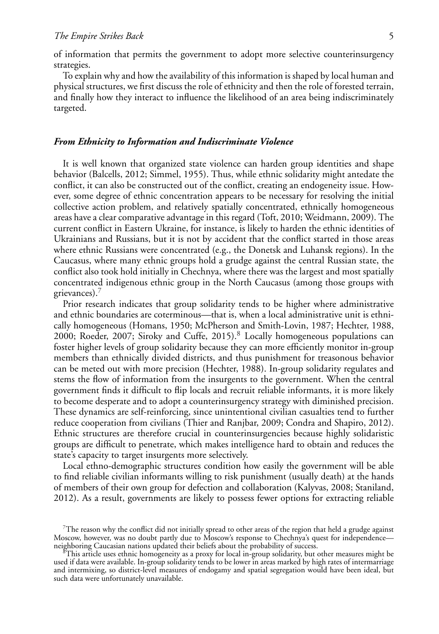To explain why and how the availability of this information is shaped by local human and physical structures, we first discuss the role of ethnicity and then the role of forested terrain, and finally how they interact to influence the likelihood of an area being indiscriminately targeted.

# *From Ethnicity to Information and Indiscriminate Violence*

It is well known that organized state violence can harden group identities and shape behavior (Balcells, 2012; Simmel, 1955). Thus, while ethnic solidarity might antedate the conflict, it can also be constructed out of the conflict, creating an endogeneity issue. However, some degree of ethnic concentration appears to be necessary for resolving the initial collective action problem, and relatively spatially concentrated, ethnically homogeneous areas have a clear comparative advantage in this regard (Toft, 2010; Weidmann, 2009). The current conflict in Eastern Ukraine, for instance, is likely to harden the ethnic identities of Ukrainians and Russians, but it is not by accident that the conflict started in those areas where ethnic Russians were concentrated (e.g., the Donetsk and Luhansk regions). In the Caucasus, where many ethnic groups hold a grudge against the central Russian state, the conflict also took hold initially in Chechnya, where there was the largest and most spatially concentrated indigenous ethnic group in the North Caucasus (among those groups with grievances).7

Prior research indicates that group solidarity tends to be higher where administrative and ethnic boundaries are coterminous—that is, when a local administrative unit is ethnically homogeneous (Homans, 1950; McPherson and Smith-Lovin, 1987; Hechter, 1988, 2000; Roeder, 2007; Siroky and Cuffe, 2015).<sup>8</sup> Locally homogeneous populations can foster higher levels of group solidarity because they can more efficiently monitor in-group members than ethnically divided districts, and thus punishment for treasonous behavior can be meted out with more precision (Hechter, 1988). In-group solidarity regulates and stems the flow of information from the insurgents to the government. When the central government finds it difficult to flip locals and recruit reliable informants, it is more likely to become desperate and to adopt a counterinsurgency strategy with diminished precision. These dynamics are self-reinforcing, since unintentional civilian casualties tend to further reduce cooperation from civilians (Thier and Ranjbar, 2009; Condra and Shapiro, 2012). Ethnic structures are therefore crucial in counterinsurgencies because highly solidaristic groups are difficult to penetrate, which makes intelligence hard to obtain and reduces the state's capacity to target insurgents more selectively.

Local ethno-demographic structures condition how easily the government will be able to find reliable civilian informants willing to risk punishment (usually death) at the hands of members of their own group for defection and collaboration (Kalyvas, 2008; Staniland, 2012). As a result, governments are likely to possess fewer options for extracting reliable

 $^{7}$ The reason why the conflict did not initially spread to other areas of the region that held a grudge against Moscow, however, was no doubt partly due to Moscow's response to Chechnya's quest for independence—

neighboring Caucasian nations updated their beliefs about the probability of success. 8This article uses ethnic homogeneity as a proxy for local in-group solidarity, but other measures might be used if data were available. In-group solidarity tends to be lower in areas marked by high rates of intermarriage and intermixing, so district-level measures of endogamy and spatial segregation would have been ideal, but such data were unfortunately unavailable.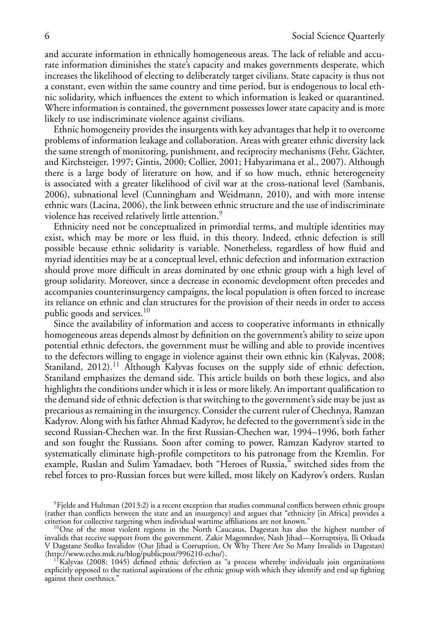and accurate information in ethnically homogeneous areas. The lack of reliable and accurate information diminishes the state's capacity and makes governments desperate, which increases the likelihood of electing to deliberately target civilians. State capacity is thus not a constant, even within the same country and time period, but is endogenous to local ethnic solidarity, which influences the extent to which information is leaked or quarantined. Where information is contained, the government possesses lower state capacity and is more likely to use indiscriminate violence against civilians.

Ethnic homogeneity provides the insurgents with key advantages that help it to overcome problems of information leakage and collaboration. Areas with greater ethnic diversity lack the same strength of monitoring, punishment, and reciprocity mechanisms (Fehr, Gächter, and Kirchsteiger, 1997; Gintis, 2000; Collier, 2001; Habyarimana et al., 2007). Although there is a large body of literature on how, and if so how much, ethnic heterogeneity is associated with a greater likelihood of civil war at the cross-national level (Sambanis, 2006), subnational level (Cunningham and Weidmann, 2010), and with more intense ethnic wars (Lacina, 2006), the link between ethnic structure and the use of indiscriminate violence has received relatively little attention.<sup>9</sup>

Ethnicity need not be conceptualized in primordial terms, and multiple identities may exist, which may be more or less fluid, in this theory. Indeed, ethnic defection is still possible because ethnic solidarity is variable. Nonetheless, regardless of how fluid and myriad identities may be at a conceptual level, ethnic defection and information extraction should prove more difficult in areas dominated by one ethnic group with a high level of group solidarity. Moreover, since a decrease in economic development often precedes and accompanies counterinsurgency campaigns, the local population is often forced to increase its reliance on ethnic and clan structures for the provision of their needs in order to access public goods and services. $10$ 

Since the availability of information and access to cooperative informants in ethnically homogeneous areas depends almost by definition on the government's ability to seize upon potential ethnic defectors, the government must be willing and able to provide incentives to the defectors willing to engage in violence against their own ethnic kin (Kalyvas, 2008; Staniland, 2012).<sup>11</sup> Although Kalyvas focuses on the supply side of ethnic defection, Staniland emphasizes the demand side. This article builds on both these logics, and also highlights the conditions under which it is less or more likely. An important qualification to the demand side of ethnic defection is that switching to the government's side may be just as precarious as remaining in the insurgency. Consider the current ruler of Chechnya, Ramzan Kadyrov. Along with his father Ahmad Kadyrov, he defected to the government's side in the second Russian-Chechen war. In the first Russian-Chechen war, 1994–1996, both father and son fought the Russians. Soon after coming to power, Ramzan Kadyrov started to systematically eliminate high-profile competitors to his patronage from the Kremlin. For example, Ruslan and Sulim Yamadaev, both "Heroes of Russia," switched sides from the rebel forces to pro-Russian forces but were killed, most likely on Kadyrov's orders. Ruslan

 $^9$ Fjelde and Hultman (2013:2) is a recent exception that studies communal conflicts between ethnic groups (rather than conflicts between the state and an insurgency) and argues that "ethnicity [in Africa] provides a

criterion for collective targeting when individual wartime affiliations are not known."<br><sup>10</sup>One of the most violent regions in the North Caucasus, Dagestan has also the highest number of invalids that receive support from the government. Zakir Magomedov, Nash Jihad—Korruptsiya, Ili Otkuda V Dagstane Stolko Invalidov (Our Jihad is Corruption, Or Why There Are So Many Invalids in Dagestan) http://www.echo.msk.ru/blog/publicpost/996210-echo/. 11Kalyvas (2008: 1045) defined ethnic defection as "a process whereby individuals join organizations

explicitly opposed to the national aspirations of the ethnic group with which they identify and end up fighting against their coethnics."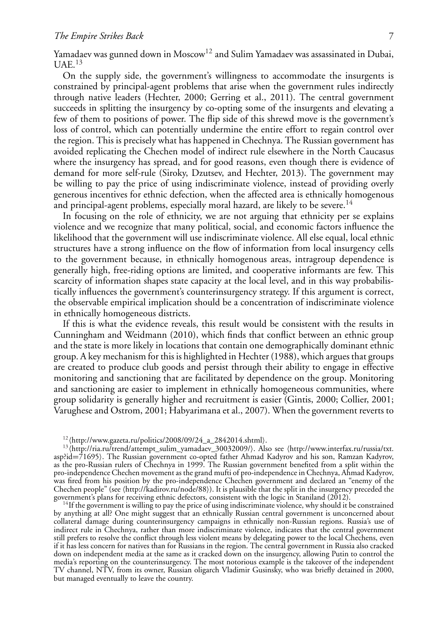Yamadaev was gunned down in Moscow<sup>12</sup> and Sulim Yamadaev was assassinated in Dubai,  $UAE.<sup>13</sup>$ 

On the supply side, the government's willingness to accommodate the insurgents is constrained by principal-agent problems that arise when the government rules indirectly through native leaders (Hechter, 2000; Gerring et al., 2011). The central government succeeds in splitting the insurgency by co-opting some of the insurgents and elevating a few of them to positions of power. The flip side of this shrewd move is the government's loss of control, which can potentially undermine the entire effort to regain control over the region. This is precisely what has happened in Chechnya. The Russian government has avoided replicating the Chechen model of indirect rule elsewhere in the North Caucasus where the insurgency has spread, and for good reasons, even though there is evidence of demand for more self-rule (Siroky, Dzutsev, and Hechter, 2013). The government may be willing to pay the price of using indiscriminate violence, instead of providing overly generous incentives for ethnic defection, when the affected area is ethnically homogenous and principal-agent problems, especially moral hazard, are likely to be severe.<sup>14</sup>

In focusing on the role of ethnicity, we are not arguing that ethnicity per se explains violence and we recognize that many political, social, and economic factors influence the likelihood that the government will use indiscriminate violence. All else equal, local ethnic structures have a strong influence on the flow of information from local insurgency cells to the government because, in ethnically homogenous areas, intragroup dependence is generally high, free-riding options are limited, and cooperative informants are few. This scarcity of information shapes state capacity at the local level, and in this way probabilistically influences the government's counterinsurgency strategy. If this argument is correct, the observable empirical implication should be a concentration of indiscriminate violence in ethnically homogeneous districts.

If this is what the evidence reveals, this result would be consistent with the results in Cunningham and Weidmann (2010), which finds that conflict between an ethnic group and the state is more likely in locations that contain one demographically dominant ethnic group. A key mechanism for this is highlighted in Hechter (1988), which argues that groups are created to produce club goods and persist through their ability to engage in effective monitoring and sanctioning that are facilitated by dependence on the group. Monitoring and sanctioning are easier to implement in ethnically homogeneous communities, where group solidarity is generally higher and recruitment is easier (Gintis, 2000; Collier, 2001; Varughese and Ostrom, 2001; Habyarimana et al., 2007). When the government reverts to

by anything at all? One might suggest that an ethnically Russian central government is unconcerned about collateral damage during counterinsurgency campaigns in ethnically non-Russian regions. Russia's use of indirect rule in Chechnya, rather than more indiscriminate violence, indicates that the central government still prefers to resolve the conflict through less violent means by delegating power to the local Chechens, even if it has less concern for natives than for Russians in the region. The central government in Russia also cracked down on independent media at the same as it cracked down on the insurgency, allowing Putin to control the media's reporting on the counterinsurgency. The most notorious example is the takeover of the independent TV channel, NTV, from its owner, Russian oligarch Vladimir Gusinsky, who was briefly detained in 2000, but managed eventually to leave the country.

<sup>&</sup>lt;sup>12</sup> (http://www.gazeta.ru/politics/2008/09/24\_a\_2842014.shtml).<br><sup>13</sup> (http://ria.ru/trend/attempt\_sulim\_yamadaev\_30032009/). Also see (http://www.interfax.ru/russia/txt. asp?id=71695). The Russian government co-opted father Ahmad Kadyrov and his son, Ramzan Kadyrov,<br>as the pro-Russian rulers of Chechnya in 1999. The Russian government benefited from a split within the pro-independence Chechen movement as the grand mufti of pro-independence in Chechnya, Ahmad Kadyrov, was fired from his position by the pro-independence Chechen government and declared an "enemy of the Chechen people" (see http://kadirov.ru/node/88). It is plausible that the split in the insurgency preceded the government's plans for receiving ethnic defectors, consistent with the logic in Staniland (2012).  $14$  If the government is willing to pay the price of using indiscriminate violence, why should it be constrained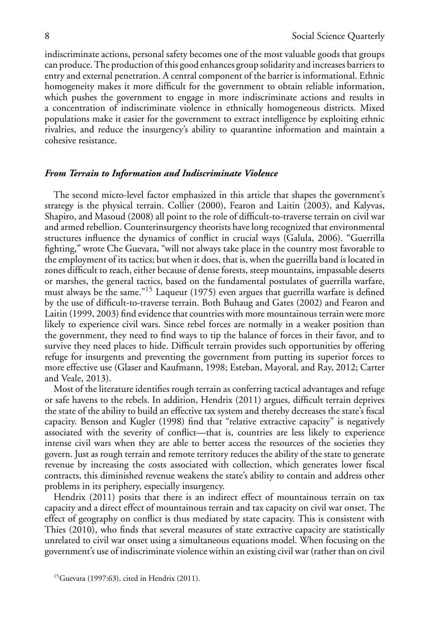indiscriminate actions, personal safety becomes one of the most valuable goods that groups can produce. The production of this good enhances group solidarity and increases barriers to entry and external penetration. A central component of the barrier is informational. Ethnic homogeneity makes it more difficult for the government to obtain reliable information, which pushes the government to engage in more indiscriminate actions and results in a concentration of indiscriminate violence in ethnically homogeneous districts. Mixed populations make it easier for the government to extract intelligence by exploiting ethnic rivalries, and reduce the insurgency's ability to quarantine information and maintain a cohesive resistance.

# *From Terrain to Information and Indiscriminate Violence*

The second micro-level factor emphasized in this article that shapes the government's strategy is the physical terrain. Collier (2000), Fearon and Laitin (2003), and Kalyvas, Shapiro, and Masoud (2008) all point to the role of difficult-to-traverse terrain on civil war and armed rebellion. Counterinsurgency theorists have long recognized that environmental structures influence the dynamics of conflict in crucial ways (Galula, 2006). "Guerrilla fighting," wrote Che Guevara, "will not always take place in the country most favorable to the employment of its tactics; but when it does, that is, when the guerrilla band is located in zones difficult to reach, either because of dense forests, steep mountains, impassable deserts or marshes, the general tactics, based on the fundamental postulates of guerrilla warfare, must always be the same."15 Laqueur (1975) even argues that guerrilla warfare is defined by the use of difficult-to-traverse terrain. Both Buhaug and Gates (2002) and Fearon and Laitin (1999, 2003) find evidence that countries with more mountainous terrain were more likely to experience civil wars. Since rebel forces are normally in a weaker position than the government, they need to find ways to tip the balance of forces in their favor, and to survive they need places to hide. Difficult terrain provides such opportunities by offering refuge for insurgents and preventing the government from putting its superior forces to more effective use (Glaser and Kaufmann, 1998; Esteban, Mayoral, and Ray, 2012; Carter and Veale, 2013).

Most of the literature identifies rough terrain as conferring tactical advantages and refuge or safe havens to the rebels. In addition, Hendrix (2011) argues, difficult terrain deprives the state of the ability to build an effective tax system and thereby decreases the state's fiscal capacity. Benson and Kugler (1998) find that "relative extractive capacity" is negatively associated with the severity of conflict—that is, countries are less likely to experience intense civil wars when they are able to better access the resources of the societies they govern. Just as rough terrain and remote territory reduces the ability of the state to generate revenue by increasing the costs associated with collection, which generates lower fiscal contracts, this diminished revenue weakens the state's ability to contain and address other problems in its periphery, especially insurgency.

Hendrix (2011) posits that there is an indirect effect of mountainous terrain on tax capacity and a direct effect of mountainous terrain and tax capacity on civil war onset. The effect of geography on conflict is thus mediated by state capacity. This is consistent with Thies (2010), who finds that several measures of state extractive capacity are statistically unrelated to civil war onset using a simultaneous equations model. When focusing on the government's use of indiscriminate violence within an existing civil war (rather than on civil

<sup>&</sup>lt;sup>15</sup> Guevara (1997:63), cited in Hendrix (2011).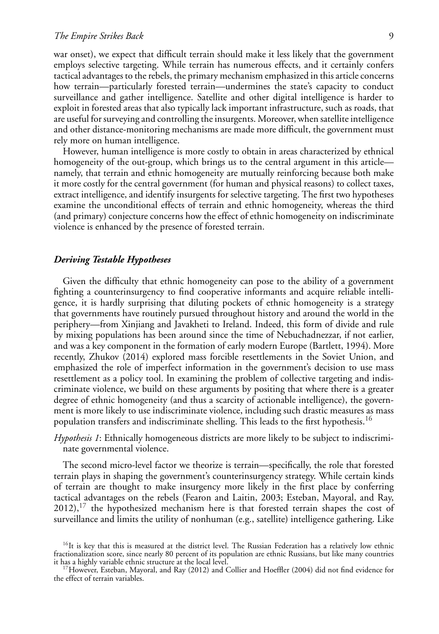## *The Empire Strikes Back* 9

war onset), we expect that difficult terrain should make it less likely that the government employs selective targeting. While terrain has numerous effects, and it certainly confers tactical advantages to the rebels, the primary mechanism emphasized in this article concerns how terrain—particularly forested terrain—undermines the state's capacity to conduct surveillance and gather intelligence. Satellite and other digital intelligence is harder to exploit in forested areas that also typically lack important infrastructure, such as roads, that are useful for surveying and controlling the insurgents. Moreover, when satellite intelligence and other distance-monitoring mechanisms are made more difficult, the government must rely more on human intelligence.

However, human intelligence is more costly to obtain in areas characterized by ethnical homogeneity of the out-group, which brings us to the central argument in this article namely, that terrain and ethnic homogeneity are mutually reinforcing because both make it more costly for the central government (for human and physical reasons) to collect taxes, extract intelligence, and identify insurgents for selective targeting. The first two hypotheses examine the unconditional effects of terrain and ethnic homogeneity, whereas the third (and primary) conjecture concerns how the effect of ethnic homogeneity on indiscriminate violence is enhanced by the presence of forested terrain.

#### *Deriving Testable Hypotheses*

Given the difficulty that ethnic homogeneity can pose to the ability of a government fighting a counterinsurgency to find cooperative informants and acquire reliable intelligence, it is hardly surprising that diluting pockets of ethnic homogeneity is a strategy that governments have routinely pursued throughout history and around the world in the periphery—from Xinjiang and Javakheti to Ireland. Indeed, this form of divide and rule by mixing populations has been around since the time of Nebuchadnezzar, if not earlier, and was a key component in the formation of early modern Europe (Bartlett, 1994). More recently, Zhukov (2014) explored mass forcible resettlements in the Soviet Union, and emphasized the role of imperfect information in the government's decision to use mass resettlement as a policy tool. In examining the problem of collective targeting and indiscriminate violence, we build on these arguments by positing that where there is a greater degree of ethnic homogeneity (and thus a scarcity of actionable intelligence), the government is more likely to use indiscriminate violence, including such drastic measures as mass population transfers and indiscriminate shelling. This leads to the first hypothesis.<sup>16</sup>

*Hypothesis 1*: Ethnically homogeneous districts are more likely to be subject to indiscriminate governmental violence.

The second micro-level factor we theorize is terrain—specifically, the role that forested terrain plays in shaping the government's counterinsurgency strategy. While certain kinds of terrain are thought to make insurgency more likely in the first place by conferring tactical advantages on the rebels (Fearon and Laitin, 2003; Esteban, Mayoral, and Ray,  $2012$ ,<sup>17</sup> the hypothesized mechanism here is that forested terrain shapes the cost of surveillance and limits the utility of nonhuman (e.g., satellite) intelligence gathering. Like

 $16$ It is key that this is measured at the district level. The Russian Federation has a relatively low ethnic fractionalization score, since nearly 80 percent of its population are ethnic Russians, but like many countries<br>it has a highly variable ethnic structure at the local level.

<sup>&</sup>lt;sup>17</sup> However, Esteban, Mayoral, and Ray (2012) and Collier and Hoeffler (2004) did not find evidence for the effect of terrain variables.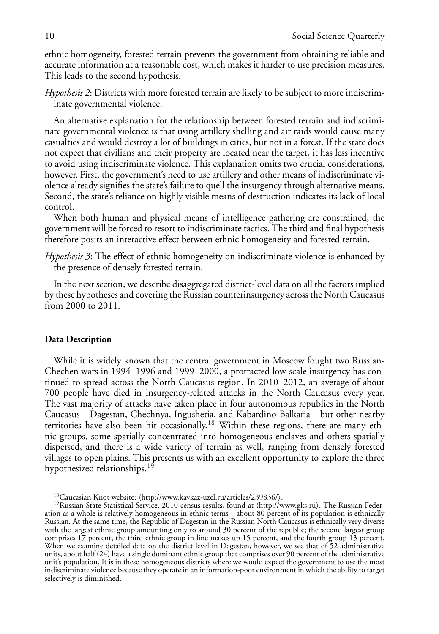ethnic homogeneity, forested terrain prevents the government from obtaining reliable and accurate information at a reasonable cost, which makes it harder to use precision measures. This leads to the second hypothesis.

*Hypothesis 2*: Districts with more forested terrain are likely to be subject to more indiscriminate governmental violence.

An alternative explanation for the relationship between forested terrain and indiscriminate governmental violence is that using artillery shelling and air raids would cause many casualties and would destroy a lot of buildings in cities, but not in a forest. If the state does not expect that civilians and their property are located near the target, it has less incentive to avoid using indiscriminate violence. This explanation omits two crucial considerations, however. First, the government's need to use artillery and other means of indiscriminate violence already signifies the state's failure to quell the insurgency through alternative means. Second, the state's reliance on highly visible means of destruction indicates its lack of local control.

When both human and physical means of intelligence gathering are constrained, the government will be forced to resort to indiscriminate tactics. The third and final hypothesis therefore posits an interactive effect between ethnic homogeneity and forested terrain.

*Hypothesis 3*: The effect of ethnic homogeneity on indiscriminate violence is enhanced by the presence of densely forested terrain.

In the next section, we describe disaggregated district-level data on all the factors implied by these hypotheses and covering the Russian counterinsurgency across the North Caucasus from 2000 to 2011.

# **Data Description**

While it is widely known that the central government in Moscow fought two Russian-Chechen wars in 1994–1996 and 1999–2000, a protracted low-scale insurgency has continued to spread across the North Caucasus region. In 2010–2012, an average of about 700 people have died in insurgency-related attacks in the North Caucasus every year. The vast majority of attacks have taken place in four autonomous republics in the North Caucasus—Dagestan, Chechnya, Ingushetia, and Kabardino-Balkaria—but other nearby territories have also been hit occasionally.<sup>18</sup> Within these regions, there are many ethnic groups, some spatially concentrated into homogeneous enclaves and others spatially dispersed, and there is a wide variety of terrain as well, ranging from densely forested villages to open plains. This presents us with an excellent opportunity to explore the three hypothesized relationships.<sup>19</sup>

<sup>&</sup>lt;sup>18</sup>Caucasian Knot website:  $\langle$ http://www.kavkaz-uzel.ru/articles/239836/).<br><sup>19</sup>Russian State Statistical Service, 2010 census results, found at  $\langle$ http://www.gks.ru $\rangle$ . The Russian Federation as a whole is relatively homogeneous in ethnic terms—about 80 percent of its population is ethnically Russian. At the same time, the Republic of Dagestan in the Russian North Caucasus is ethnically very diverse with the largest ethnic group amounting only to around 30 percent of the republic; the second largest group comprises 17 percent, the third ethnic group in line makes up 15 percent, and the fourth group 13 percent. When we examine detailed data on the district level in Dagestan, however, we see that of 52 administrative units, about half (24) have a single dominant ethnic group that comprises over 90 percent of the administrative unit's population. It is in these homogeneous districts where we would expect the government to use the most indiscriminate violence because they operate in an information-poor environment in which the ability to target selectively is diminished.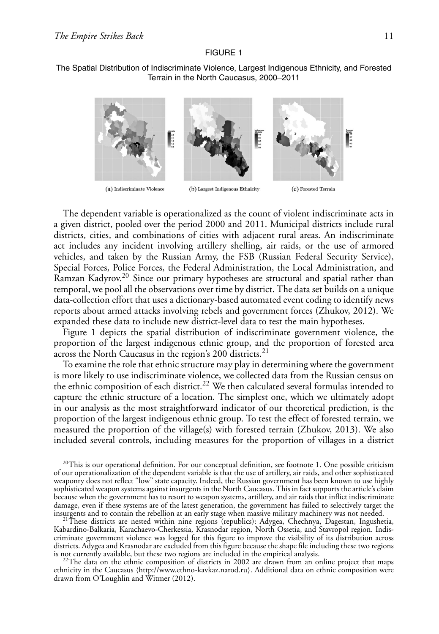# The Spatial Distribution of Indiscriminate Violence, Largest Indigenous Ethnicity, and Forested Terrain in the North Caucasus, 2000–2011



(a) Indiscriminate Violence

(b) Largest Indigenous Ethnicity

(c) Forested Terrain

The dependent variable is operationalized as the count of violent indiscriminate acts in a given district, pooled over the period 2000 and 2011. Municipal districts include rural districts, cities, and combinations of cities with adjacent rural areas. An indiscriminate act includes any incident involving artillery shelling, air raids, or the use of armored vehicles, and taken by the Russian Army, the FSB (Russian Federal Security Service), Special Forces, Police Forces, the Federal Administration, the Local Administration, and Ramzan Kadyrov.<sup>20</sup> Since our primary hypotheses are structural and spatial rather than temporal, we pool all the observations over time by district. The data set builds on a unique data-collection effort that uses a dictionary-based automated event coding to identify news reports about armed attacks involving rebels and government forces (Zhukov, 2012). We expanded these data to include new district-level data to test the main hypotheses.

Figure 1 depicts the spatial distribution of indiscriminate government violence, the proportion of the largest indigenous ethnic group, and the proportion of forested area across the North Caucasus in the region's 200 districts.<sup>21</sup>

To examine the role that ethnic structure may play in determining where the government is more likely to use indiscriminate violence, we collected data from the Russian census on the ethnic composition of each district.<sup>22</sup> We then calculated several formulas intended to capture the ethnic structure of a location. The simplest one, which we ultimately adopt in our analysis as the most straightforward indicator of our theoretical prediction, is the proportion of the largest indigenous ethnic group. To test the effect of forested terrain, we measured the proportion of the village(s) with forested terrain (Zhukov, 2013). We also included several controls, including measures for the proportion of villages in a district

 $^{20}$ This is our operational definition. For our conceptual definition, see footnote 1. One possible criticism of our operationalization of the dependent variable is that the use of artillery, air raids, and other sophisticated weaponry does not reflect "low" state capacity. Indeed, the Russian government has been known to use highly sophisticated weapon systems against insurgents in the North Caucasus. This in fact supports the article's claim because when the government has to resort to weapon systems, artillery, and air raids that inflict indiscriminate damage, even if these systems are of the latest generation, the government has failed to selectively target the insurgents and to contain the rebellion at an early stage when massive military machinery was not needed. insurgents and to contain the rebellion at an early stage when massive military machinery was not needed. 21These districts are nested within nine regions (republics): Adygea, Chechnya, Dagestan, Ingushetia,

Kabardino-Balkaria, Karachaevo-Cherkessia, Krasnodar region, North Ossetia, and Stavropol region. Indiscriminate government violence was logged for this figure to improve the visibility of its distribution across districts. Adygea and Krasnodar are excluded from this figure because the shape file including these two regions

is not currently available, but these two regions are included in the empirical analysis.<br><sup>22</sup>The data on the ethnic composition of districts in 2002 are drawn from an online project that maps ethnicity in the Caucasus (http://www.ethno-kavkaz.narod.ru). Additional data on ethnic composition were drawn from O'Loughlin and Witmer (2012).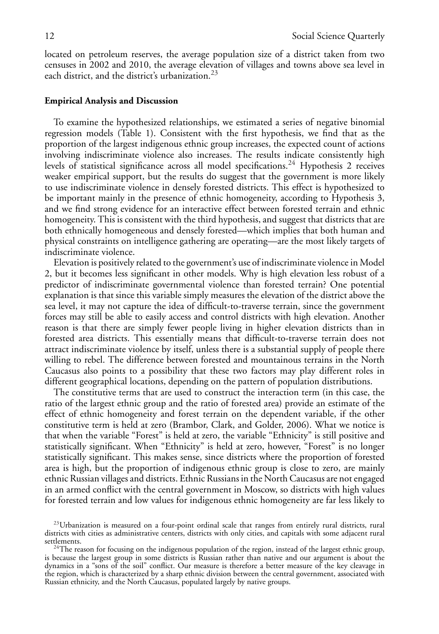located on petroleum reserves, the average population size of a district taken from two censuses in 2002 and 2010, the average elevation of villages and towns above sea level in each district, and the district's urbanization.<sup>23</sup>

#### **Empirical Analysis and Discussion**

To examine the hypothesized relationships, we estimated a series of negative binomial regression models (Table 1). Consistent with the first hypothesis, we find that as the proportion of the largest indigenous ethnic group increases, the expected count of actions involving indiscriminate violence also increases. The results indicate consistently high levels of statistical significance across all model specifications.<sup>24</sup> Hypothesis 2 receives weaker empirical support, but the results do suggest that the government is more likely to use indiscriminate violence in densely forested districts. This effect is hypothesized to be important mainly in the presence of ethnic homogeneity, according to Hypothesis 3, and we find strong evidence for an interactive effect between forested terrain and ethnic homogeneity. This is consistent with the third hypothesis, and suggest that districts that are both ethnically homogeneous and densely forested—which implies that both human and physical constraints on intelligence gathering are operating—are the most likely targets of indiscriminate violence.

Elevation is positively related to the government's use of indiscriminate violence in Model 2, but it becomes less significant in other models. Why is high elevation less robust of a predictor of indiscriminate governmental violence than forested terrain? One potential explanation is that since this variable simply measures the elevation of the district above the sea level, it may not capture the idea of difficult-to-traverse terrain, since the government forces may still be able to easily access and control districts with high elevation. Another reason is that there are simply fewer people living in higher elevation districts than in forested area districts. This essentially means that difficult-to-traverse terrain does not attract indiscriminate violence by itself, unless there is a substantial supply of people there willing to rebel. The difference between forested and mountainous terrains in the North Caucasus also points to a possibility that these two factors may play different roles in different geographical locations, depending on the pattern of population distributions.

The constitutive terms that are used to construct the interaction term (in this case, the ratio of the largest ethnic group and the ratio of forested area) provide an estimate of the effect of ethnic homogeneity and forest terrain on the dependent variable, if the other constitutive term is held at zero (Brambor, Clark, and Golder, 2006). What we notice is that when the variable "Forest" is held at zero, the variable "Ethnicity" is still positive and statistically significant. When "Ethnicity" is held at zero, however, "Forest" is no longer statistically significant. This makes sense, since districts where the proportion of forested area is high, but the proportion of indigenous ethnic group is close to zero, are mainly ethnic Russian villages and districts. Ethnic Russians in the North Caucasus are not engaged in an armed conflict with the central government in Moscow, so districts with high values for forested terrain and low values for indigenous ethnic homogeneity are far less likely to

<sup>&</sup>lt;sup>23</sup>Urbanization is measured on a four-point ordinal scale that ranges from entirely rural districts, rural districts with cities as administrative centers, districts with only cities, and capitals with some adjacent rural

<sup>&</sup>lt;sup>24</sup>The reason for focusing on the indigenous population of the region, instead of the largest ethnic group, is because the largest group in some districts is Russian rather than native and our argument is about the dynamics in a "sons of the soil" conflict. Our measure is therefore a better measure of the key cleavage in the region, which is characterized by a sharp ethnic division between the central government, associated with Russian ethnicity, and the North Caucasus, populated largely by native groups.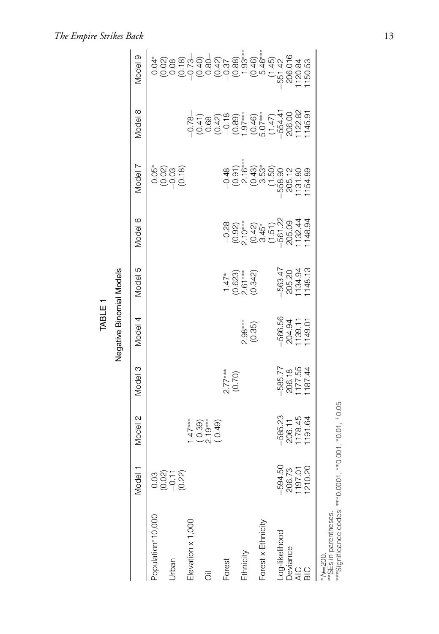| ف<br>ح      |
|-------------|
| جالعات<br>Ξ |
| ž<br>ć<br>ç |

|                                                                                   | Model 1                         | Model 2                                                                        | Model 3                                   | Model 4                                 | Model 5                                          | Model 6                                                                                                                                                                                                                                                                                                                                           | Model 7                                  | Model 8 | Model 9 |
|-----------------------------------------------------------------------------------|---------------------------------|--------------------------------------------------------------------------------|-------------------------------------------|-----------------------------------------|--------------------------------------------------|---------------------------------------------------------------------------------------------------------------------------------------------------------------------------------------------------------------------------------------------------------------------------------------------------------------------------------------------------|------------------------------------------|---------|---------|
| Population*10,000                                                                 | 0.03                            |                                                                                |                                           |                                         |                                                  |                                                                                                                                                                                                                                                                                                                                                   | <sup>န်</sup> ၀၀၀ m<br>၀၀၀၀ +<br>၀၀၀ – ၀ |         |         |
| Jrban                                                                             | $(0.02)$<br>$-0.11$<br>$(0.22)$ |                                                                                |                                           |                                         |                                                  |                                                                                                                                                                                                                                                                                                                                                   |                                          |         |         |
|                                                                                   |                                 |                                                                                |                                           |                                         |                                                  |                                                                                                                                                                                                                                                                                                                                                   |                                          |         |         |
| Elevation x 1,000                                                                 |                                 | $\begin{array}{c} 1,47** \\ (0.39)* \\ (0.79)* \\ (0.49)\\ (0.49) \end{array}$ |                                           |                                         |                                                  |                                                                                                                                                                                                                                                                                                                                                   |                                          |         |         |
| $\bar{5}$                                                                         |                                 |                                                                                |                                           |                                         |                                                  |                                                                                                                                                                                                                                                                                                                                                   |                                          |         |         |
|                                                                                   |                                 |                                                                                |                                           |                                         |                                                  |                                                                                                                                                                                                                                                                                                                                                   |                                          |         |         |
| Forest                                                                            |                                 |                                                                                |                                           |                                         |                                                  |                                                                                                                                                                                                                                                                                                                                                   |                                          |         |         |
|                                                                                   |                                 |                                                                                | $2.77***$<br>(0.70)                       |                                         | $(0.623)$<br>$(0.623)$<br>$2.61***$<br>$(0.342)$ | $\begin{array}{r} -0.28 \\ -0.92) \\ -0.92 \\ -0.42 \\ -0.44 \\ -0.51 \\ -0.09 \\ -0.09 \\ -0.09 \\ -0.09 \\ -0.09 \\ -0.09 \\ -0.09 \\ -0.09 \\ -0.09 \\ -0.09 \\ -0.09 \\ -0.09 \\ -0.09 \\ -0.09 \\ -0.09 \\ -0.09 \\ -0.09 \\ -0.09 \\ -0.09 \\ -0.09 \\ -0.09 \\ -0.09 \\ -0.09 \\ -0.09 \\ -0.09 \\ -0.09 \\ -0.09 \\ -0.09 \\ -0.09 \\ -0$ |                                          |         |         |
| Ethnicity                                                                         |                                 |                                                                                |                                           |                                         |                                                  |                                                                                                                                                                                                                                                                                                                                                   |                                          |         |         |
|                                                                                   |                                 |                                                                                |                                           | $2.98***$<br>(0.35)                     |                                                  |                                                                                                                                                                                                                                                                                                                                                   |                                          |         |         |
| Forest x Ethnicity                                                                |                                 |                                                                                |                                           |                                         |                                                  |                                                                                                                                                                                                                                                                                                                                                   |                                          |         |         |
|                                                                                   |                                 |                                                                                |                                           |                                         |                                                  |                                                                                                                                                                                                                                                                                                                                                   |                                          |         |         |
| -og-likelihood                                                                    | $-594.50$                       |                                                                                |                                           |                                         |                                                  |                                                                                                                                                                                                                                                                                                                                                   |                                          |         |         |
|                                                                                   | 206.73                          |                                                                                |                                           |                                         |                                                  |                                                                                                                                                                                                                                                                                                                                                   |                                          |         |         |
|                                                                                   |                                 | $-585.23$<br>206.11<br>1178.45<br>1191.64                                      | $-585.77$<br>206.18<br>1177.55<br>1187.44 | -566.56<br>204.94<br>1139.11<br>1149.01 | -563.47<br>205.20<br>1134.94<br>1148.13          |                                                                                                                                                                                                                                                                                                                                                   |                                          |         |         |
| Deviance<br>AIC<br>BIC                                                            | 210.20                          |                                                                                |                                           |                                         |                                                  |                                                                                                                                                                                                                                                                                                                                                   |                                          |         | 150.53  |
| ***Significance codes: ***0.0001, **0.00<br>** SEs in parentheses.<br>$*N = 200.$ |                                 | $0.04^{+0.01}_{-0.05}$                                                         |                                           |                                         |                                                  |                                                                                                                                                                                                                                                                                                                                                   |                                          |         |         |

*The Empire Strikes Back* 13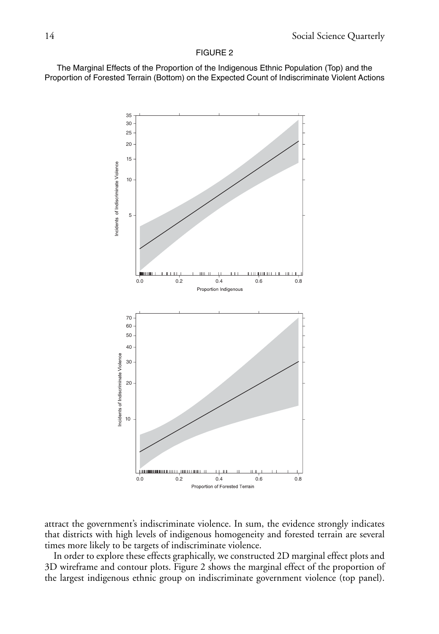The Marginal Effects of the Proportion of the Indigenous Ethnic Population (Top) and the Proportion of Forested Terrain (Bottom) on the Expected Count of Indiscriminate Violent Actions



attract the government's indiscriminate violence. In sum, the evidence strongly indicates that districts with high levels of indigenous homogeneity and forested terrain are several times more likely to be targets of indiscriminate violence.

In order to explore these effects graphically, we constructed 2D marginal effect plots and 3D wireframe and contour plots. Figure 2 shows the marginal effect of the proportion of the largest indigenous ethnic group on indiscriminate government violence (top panel).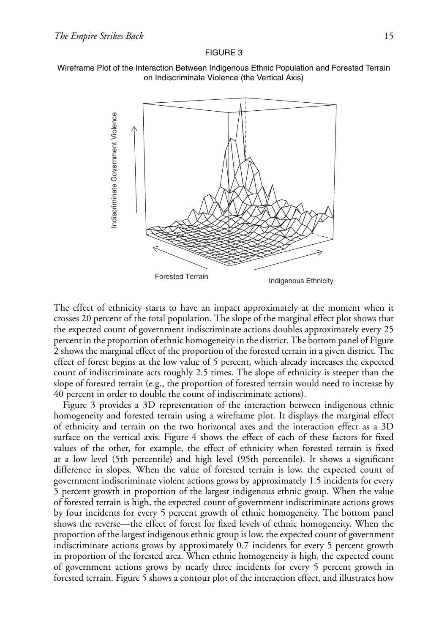



The effect of ethnicity starts to have an impact approximately at the moment when it crosses 20 percent of the total population. The slope of the marginal effect plot shows that the expected count of government indiscriminate actions doubles approximately every 25 percent in the proportion of ethnic homogeneity in the district. The bottom panel of Figure 2 shows the marginal effect of the proportion of the forested terrain in a given district. The effect of forest begins at the low value of 5 percent, which already increases the expected count of indiscriminate acts roughly 2.5 times. The slope of ethnicity is steeper than the slope of forested terrain (e.g., the proportion of forested terrain would need to increase by 40 percent in order to double the count of indiscriminate actions).

Figure 3 provides a 3D representation of the interaction between indigenous ethnic homogeneity and forested terrain using a wireframe plot. It displays the marginal effect of ethnicity and terrain on the two horizontal axes and the interaction effect as a 3D surface on the vertical axis. Figure 4 shows the effect of each of these factors for fixed values of the other, for example, the effect of ethnicity when forested terrain is fixed at a low level (5th percentile) and high level (95th percentile). It shows a significant difference in slopes. When the value of forested terrain is low, the expected count of government indiscriminate violent actions grows by approximately 1.5 incidents for every 5 percent growth in proportion of the largest indigenous ethnic group. When the value of forested terrain is high, the expected count of government indiscriminate actions grows by four incidents for every 5 percent growth of ethnic homogeneity. The bottom panel shows the reverse—the effect of forest for fixed levels of ethnic homogeneity. When the proportion of the largest indigenous ethnic group is low, the expected count of government indiscriminate actions grows by approximately 0.7 incidents for every 5 percent growth in proportion of the forested area. When ethnic homogeneity is high, the expected count of government actions grows by nearly three incidents for every 5 percent growth in forested terrain. Figure 5 shows a contour plot of the interaction effect, and illustrates how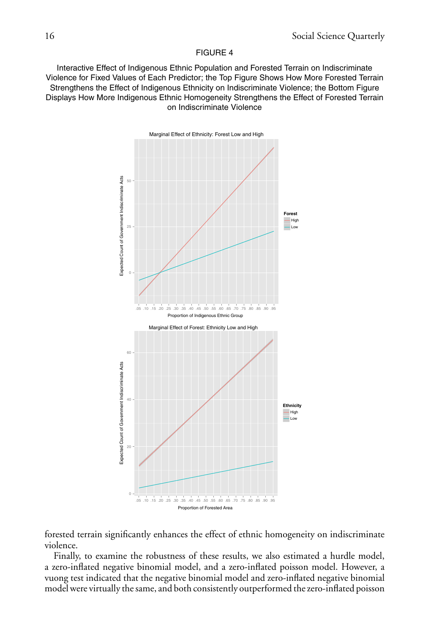Interactive Effect of Indigenous Ethnic Population and Forested Terrain on Indiscriminate Violence for Fixed Values of Each Predictor; the Top Figure Shows How More Forested Terrain Strengthens the Effect of Indigenous Ethnicity on Indiscriminate Violence; the Bottom Figure Displays How More Indigenous Ethnic Homogeneity Strengthens the Effect of Forested Terrain on Indiscriminate Violence



forested terrain significantly enhances the effect of ethnic homogeneity on indiscriminate violence.

Finally, to examine the robustness of these results, we also estimated a hurdle model, a zero-inflated negative binomial model, and a zero-inflated poisson model. However, a vuong test indicated that the negative binomial model and zero-inflated negative binomial model were virtually the same, and both consistently outperformed the zero-inflated poisson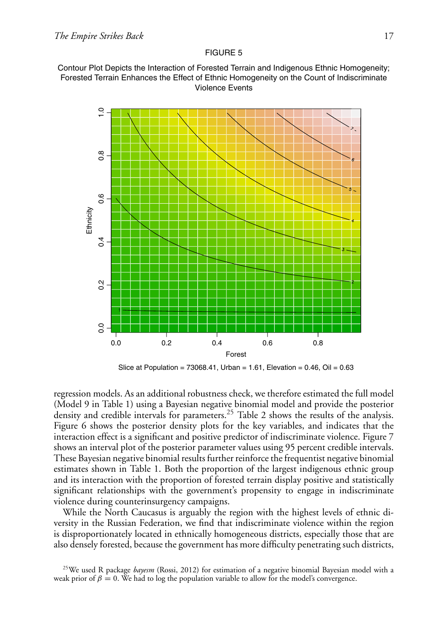Contour Plot Depicts the Interaction of Forested Terrain and Indigenous Ethnic Homogeneity; Forested Terrain Enhances the Effect of Ethnic Homogeneity on the Count of Indiscriminate Violence Events



Slice at Population = 73068.41, Urban = 1.61, Elevation =  $0.46$ , Oil =  $0.63$ 

regression models. As an additional robustness check, we therefore estimated the full model (Model 9 in Table 1) using a Bayesian negative binomial model and provide the posterior density and credible intervals for parameters.<sup>25</sup> Table 2 shows the results of the analysis. Figure 6 shows the posterior density plots for the key variables, and indicates that the interaction effect is a significant and positive predictor of indiscriminate violence. Figure 7 shows an interval plot of the posterior parameter values using 95 percent credible intervals. These Bayesian negative binomial results further reinforce the frequentist negative binomial estimates shown in Table 1. Both the proportion of the largest indigenous ethnic group and its interaction with the proportion of forested terrain display positive and statistically significant relationships with the government's propensity to engage in indiscriminate violence during counterinsurgency campaigns.

While the North Caucasus is arguably the region with the highest levels of ethnic diversity in the Russian Federation, we find that indiscriminate violence within the region is disproportionately located in ethnically homogeneous districts, especially those that are also densely forested, because the government has more difficulty penetrating such districts,

25We used R package *bayesm* (Rossi, 2012) for estimation of a negative binomial Bayesian model with a weak prior of  $\beta = 0$ . We had to log the population variable to allow for the model's convergence.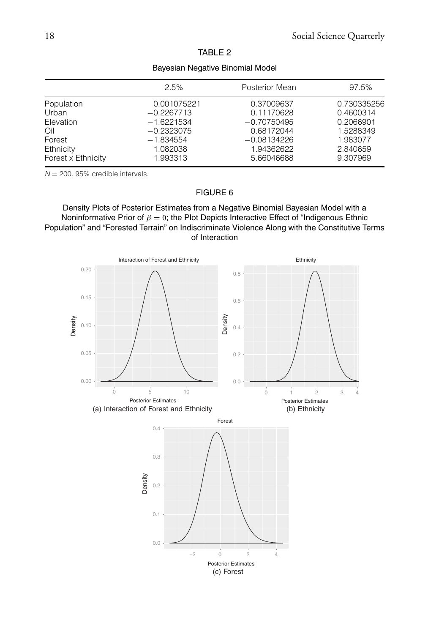|--|--|

Bayesian Negative Binomial Model

| 2.5%         | Posterior Mean | 97.5%       |
|--------------|----------------|-------------|
| 0.001075221  | 0.37009637     | 0.730335256 |
| $-0.2267713$ | 0.11170628     | 0.4600314   |
| $-1.6221534$ | $-0.70750495$  | 0.2066901   |
| $-0.2323075$ | 0.68172044     | 1.5288349   |
| $-1.834554$  | $-0.08134226$  | 1.983077    |
| 1.082038     | 1.94362622     | 2.840659    |
| 1.993313     | 5.66046688     | 9.307969    |
|              |                |             |

*N* = 200. 95% credible intervals.

# FIGURE 6

Density Plots of Posterior Estimates from a Negative Binomial Bayesian Model with a Noninformative Prior of  $\beta = 0$ ; the Plot Depicts Interactive Effect of "Indigenous Ethnic Population" and "Forested Terrain" on Indiscriminate Violence Along with the Constitutive Terms of Interaction

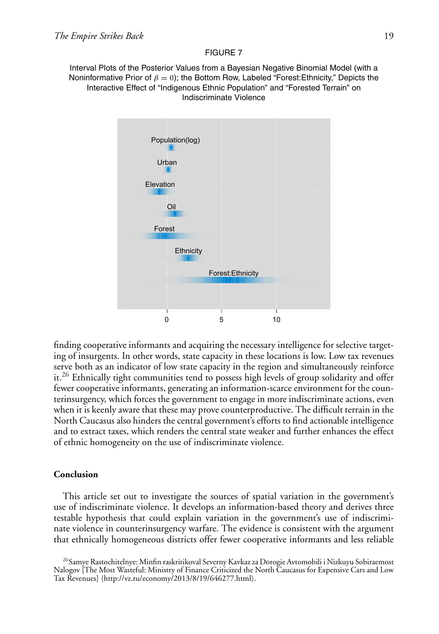Interval Plots of the Posterior Values from a Bayesian Negative Binomial Model (with a Noninformative Prior of  $\beta = 0$ ); the Bottom Row, Labeled "Forest: Ethnicity," Depicts the Interactive Effect of "Indigenous Ethnic Population" and "Forested Terrain" on Indiscriminate Violence



finding cooperative informants and acquiring the necessary intelligence for selective targeting of insurgents. In other words, state capacity in these locations is low. Low tax revenues serve both as an indicator of low state capacity in the region and simultaneously reinforce it.<sup>26</sup> Ethnically tight communities tend to possess high levels of group solidarity and offer fewer cooperative informants, generating an information-scarce environment for the counterinsurgency, which forces the government to engage in more indiscriminate actions, even when it is keenly aware that these may prove counterproductive. The difficult terrain in the North Caucasus also hinders the central government's efforts to find actionable intelligence and to extract taxes, which renders the central state weaker and further enhances the effect of ethnic homogeneity on the use of indiscriminate violence.

# **Conclusion**

This article set out to investigate the sources of spatial variation in the government's use of indiscriminate violence. It develops an information-based theory and derives three testable hypothesis that could explain variation in the government's use of indiscriminate violence in counterinsurgency warfare. The evidence is consistent with the argument that ethnically homogeneous districts offer fewer cooperative informants and less reliable

<sup>&</sup>lt;sup>26</sup>Samye Rastochitelnye: Minfin raskritikoval Severny Kavkaz za Dorogie Avtomobili i Nizkuyu Sobiraemost Nalogov [The Most Wasteful: Ministry of Finance Criticized the North Caucasus for Expensive Cars and Low Tax Revenues] (http://vz.ru/economy/2013/8/19/646277.html).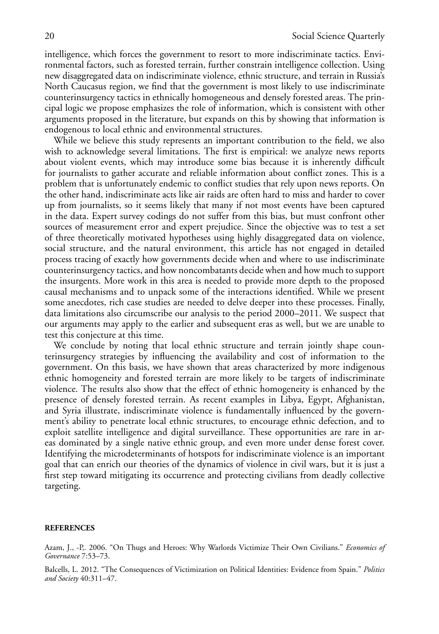intelligence, which forces the government to resort to more indiscriminate tactics. Environmental factors, such as forested terrain, further constrain intelligence collection. Using new disaggregated data on indiscriminate violence, ethnic structure, and terrain in Russia's North Caucasus region, we find that the government is most likely to use indiscriminate counterinsurgency tactics in ethnically homogeneous and densely forested areas. The principal logic we propose emphasizes the role of information, which is consistent with other arguments proposed in the literature, but expands on this by showing that information is endogenous to local ethnic and environmental structures.

While we believe this study represents an important contribution to the field, we also wish to acknowledge several limitations. The first is empirical: we analyze news reports about violent events, which may introduce some bias because it is inherently difficult for journalists to gather accurate and reliable information about conflict zones. This is a problem that is unfortunately endemic to conflict studies that rely upon news reports. On the other hand, indiscriminate acts like air raids are often hard to miss and harder to cover up from journalists, so it seems likely that many if not most events have been captured in the data. Expert survey codings do not suffer from this bias, but must confront other sources of measurement error and expert prejudice. Since the objective was to test a set of three theoretically motivated hypotheses using highly disaggregated data on violence, social structure, and the natural environment, this article has not engaged in detailed process tracing of exactly how governments decide when and where to use indiscriminate counterinsurgency tactics, and how noncombatants decide when and how much to support the insurgents. More work in this area is needed to provide more depth to the proposed causal mechanisms and to unpack some of the interactions identified. While we present some anecdotes, rich case studies are needed to delve deeper into these processes. Finally, data limitations also circumscribe our analysis to the period 2000–2011. We suspect that our arguments may apply to the earlier and subsequent eras as well, but we are unable to test this conjecture at this time.

We conclude by noting that local ethnic structure and terrain jointly shape counterinsurgency strategies by influencing the availability and cost of information to the government. On this basis, we have shown that areas characterized by more indigenous ethnic homogeneity and forested terrain are more likely to be targets of indiscriminate violence. The results also show that the effect of ethnic homogeneity is enhanced by the presence of densely forested terrain. As recent examples in Libya, Egypt, Afghanistan, and Syria illustrate, indiscriminate violence is fundamentally influenced by the government's ability to penetrate local ethnic structures, to encourage ethnic defection, and to exploit satellite intelligence and digital surveillance. These opportunities are rare in areas dominated by a single native ethnic group, and even more under dense forest cover. Identifying the microdeterminants of hotspots for indiscriminate violence is an important goal that can enrich our theories of the dynamics of violence in civil wars, but it is just a first step toward mitigating its occurrence and protecting civilians from deadly collective targeting.

#### **REFERENCES**

Azam, J., -P,. 2006. "On Thugs and Heroes: Why Warlords Victimize Their Own Civilians." *Economics of Governance* 7:53–73.

Balcells, L. 2012. "The Consequences of Victimization on Political Identities: Evidence from Spain." *Politics and Society* 40:311–47.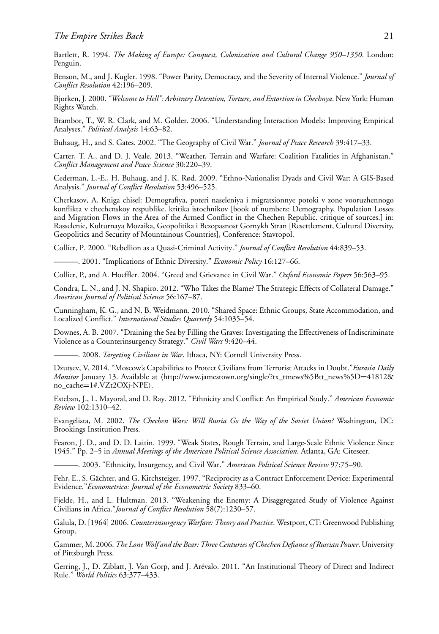Bartlett, R. 1994. *The Making of Europe: Conquest, Colonization and Cultural Change 950–1350*. London: Penguin.

Benson, M., and J. Kugler. 1998. "Power Parity, Democracy, and the Severity of Internal Violence." *Journal of Conflict Resolution* 42:196–209.

Bjorken, J. 2000.*"Welcome to Hell": Arbitrary Detention, Torture, and Extortion in Chechnya*. New York: Human Rights Watch.

Brambor, T., W. R. Clark, and M. Golder. 2006. "Understanding Interaction Models: Improving Empirical Analyses." *Political Analysis* 14:63–82.

Buhaug, H., and S. Gates. 2002. "The Geography of Civil War." *Journal of Peace Research* 39:417–33.

Carter, T. A., and D. J. Veale. 2013. "Weather, Terrain and Warfare: Coalition Fatalities in Afghanistan." *Conflict Management and Peace Science* 30:220–39.

Cederman, L.-E., H. Buhaug, and J. K. Rød. 2009. "Ethno-Nationalist Dyads and Civil War: A GIS-Based Analysis." *Journal of Conflict Resolution* 53:496–525.

Cherkasov, A. Kniga chisel: Demografiya, poteri naseleniya i migratsionnye potoki v zone vooruzhennogo konflikta v chechenskoy respublike. kritika istochnikov [book of numbers: Demography, Population Losses and Migration Flows in the Area of the Armed Conflict in the Chechen Republic. critique of sources.] in: Rasselenie, Kulturnaya Mozaika, Geopolitika i Bezopasnost Gornykh Stran [Resettlement, Cultural Diversity, Geopolitics and Security of Mountainous Countries], Conference: Stavropol.

Collier, P. 2000. "Rebellion as a Quasi-Criminal Activity." *Journal of Conflict Resolution* 44:839–53.

———. 2001. "Implications of Ethnic Diversity." *Economic Policy* 16:127–66.

Collier, P., and A. Hoeffler. 2004. "Greed and Grievance in Civil War." *Oxford Economic Papers* 56:563–95.

Condra, L. N., and J. N. Shapiro. 2012. "Who Takes the Blame? The Strategic Effects of Collateral Damage." *American Journal of Political Science* 56:167–87.

Cunningham, K. G., and N. B. Weidmann. 2010. "Shared Space: Ethnic Groups, State Accommodation, and Localized Conflict." *International Studies Quarterly* 54:1035–54.

Downes, A. B. 2007. "Draining the Sea by Filling the Graves: Investigating the Effectiveness of Indiscriminate Violence as a Counterinsurgency Strategy." *Civil Wars* 9:420–44.

———. 2008. *Targeting Civilians in War*. Ithaca, NY: Cornell University Press.

Dzutsev, V. 2014. "Moscow's Capabilities to Protect Civilians from Terrorist Attacks in Doubt."*Eurasia Daily Monitor* January 13. Available at http://www.jamestown.org/single/?tx\_ttnews%5Btt\_news%5D=41812& no\_cache=1#.VZt2OXj-NPE $\rangle$ .

Esteban, J., L. Mayoral, and D. Ray. 2012. "Ethnicity and Conflict: An Empirical Study." *American Economic Review* 102:1310–42.

Evangelista, M. 2002. *The Chechen Wars: Will Russia Go the Way of the Soviet Union?* Washington, DC: Brookings Institution Press.

Fearon, J. D., and D. D. Laitin. 1999. "Weak States, Rough Terrain, and Large-Scale Ethnic Violence Since 1945." Pp. 2–5 in *Annual Meetings of the American Political Science Association*. Atlanta, GA: Citeseer.

———. 2003. "Ethnicity, Insurgency, and Civil War." *American Political Science Review* 97:75–90.

Fehr, E., S. Gächter, and G. Kirchsteiger. 1997. "Reciprocity as a Contract Enforcement Device: Experimental Evidence."*Econometrica: Journal of the Econometric Society* 833–60.

Fjelde, H., and L. Hultman. 2013. "Weakening the Enemy: A Disaggregated Study of Violence Against Civilians in Africa."*Journal of Conflict Resolution* 58(7):1230–57.

Galula, D. [1964] 2006. *Counterinsurgency Warfare: Theory and Practice*. Westport, CT: Greenwood Publishing Group.

Gammer, M. 2006. *The Lone Wolf and the Bear: Three Centuries of Chechen Defiance of Russian Power*. University of Pittsburgh Press.

Gerring, J., D. Ziblatt, J. Van Gorp, and J. Arevalo. 2011. "An Institutional Theory of Direct and Indirect ´ Rule." *World Politics* 63:377–433.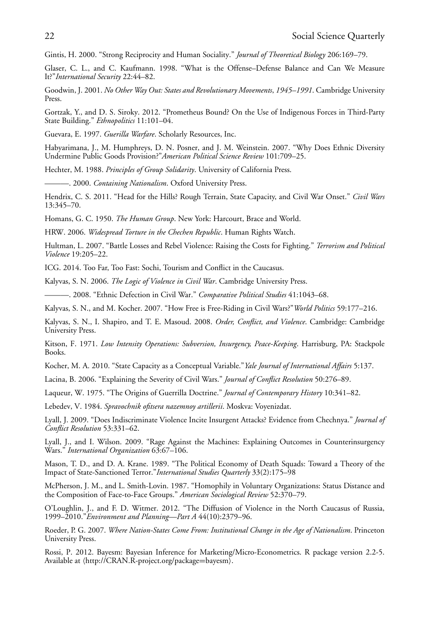Gintis, H. 2000. "Strong Reciprocity and Human Sociality." *Journal of Theoretical Biology* 206:169–79.

Glaser, C. L., and C. Kaufmann. 1998. "What is the Offense–Defense Balance and Can We Measure It?"*International Security* 22:44–82.

Goodwin, J. 2001. *No Other Way Out: States and Revolutionary Movements*, *1945–1991*. Cambridge University Press.

Gortzak, Y., and D. S. Siroky. 2012. "Prometheus Bound? On the Use of Indigenous Forces in Third-Party State Building." *Ethnopolitics* 11:101–04.

Guevara, E. 1997. *Guerilla Warfare*. Scholarly Resources, Inc.

Habyarimana, J., M. Humphreys, D. N. Posner, and J. M. Weinstein. 2007. "Why Does Ethnic Diversity Undermine Public Goods Provision?"*American Political Science Review* 101:709–25.

Hechter, M. 1988. *Principles of Group Solidarity*. University of California Press.

———. 2000. *Containing Nationalism*. Oxford University Press.

Hendrix, C. S. 2011. "Head for the Hills? Rough Terrain, State Capacity, and Civil War Onset." *Civil Wars* 13:345–70.

Homans, G. C. 1950. *The Human Group*. New York: Harcourt, Brace and World.

HRW. 2006. *Widespread Torture in the Chechen Republic*. Human Rights Watch.

Hultman, L. 2007. "Battle Losses and Rebel Violence: Raising the Costs for Fighting." *Terrorism and Political Violence* 19:205–22.

ICG. 2014. Too Far, Too Fast: Sochi, Tourism and Conflict in the Caucasus.

Kalyvas, S. N. 2006. *The Logic of Violence in Civil War*. Cambridge University Press.

———. 2008. "Ethnic Defection in Civil War." *Comparative Political Studies* 41:1043–68.

Kalyvas, S. N., and M. Kocher. 2007. "How Free is Free-Riding in Civil Wars?"*World Politics* 59:177–216.

Kalyvas, S. N., I. Shapiro, and T. E. Masoud. 2008. *Order, Conflict, and Violence*. Cambridge: Cambridge University Press.

Kitson, F. 1971. *Low Intensity Operations: Subversion, Insurgency, Peace-Keeping*. Harrisburg, PA: Stackpole Books.

Kocher, M. A. 2010. "State Capacity as a Conceptual Variable."*Yale Journal of International Affairs* 5:137.

Lacina, B. 2006. "Explaining the Severity of Civil Wars." *Journal of Conflict Resolution* 50:276–89.

Laqueur, W. 1975. "The Origins of Guerrilla Doctrine." *Journal of Contemporary History* 10:341–82.

Lebedev, V. 1984. *Spravochnik ofitsera nazemnoy artillerii*. Moskva: Voyenizdat.

Lyall, J. 2009. "Does Indiscriminate Violence Incite Insurgent Attacks? Evidence from Chechnya." *Journal of Conflict Resolution* 53:331–62.

Lyall, J., and I. Wilson. 2009. "Rage Against the Machines: Explaining Outcomes in Counterinsurgency Wars." *International Organization* 63:67–106.

Mason, T. D., and D. A. Krane. 1989. "The Political Economy of Death Squads: Toward a Theory of the Impact of State-Sanctioned Terror."*International Studies Quarterly* 33(2):175–98

McPherson, J. M., and L. Smith-Lovin. 1987. "Homophily in Voluntary Organizations: Status Distance and the Composition of Face-to-Face Groups." *American Sociological Review* 52:370–79.

O'Loughlin, J., and F. D. Witmer. 2012. "The Diffusion of Violence in the North Caucasus of Russia, 1999–2010."*Environment and Planning—Part A* 44(10):2379–96.

Roeder, P. G. 2007. *Where Nation-States Come From: Institutional Change in the Age of Nationalism*. Princeton University Press.

Rossi, P. 2012. Bayesm: Bayesian Inference for Marketing/Micro-Econometrics. R package version 2.2-5. Available at  $\langle \text{http://CRAN.R-project.org/package=bayesm}\rangle$ .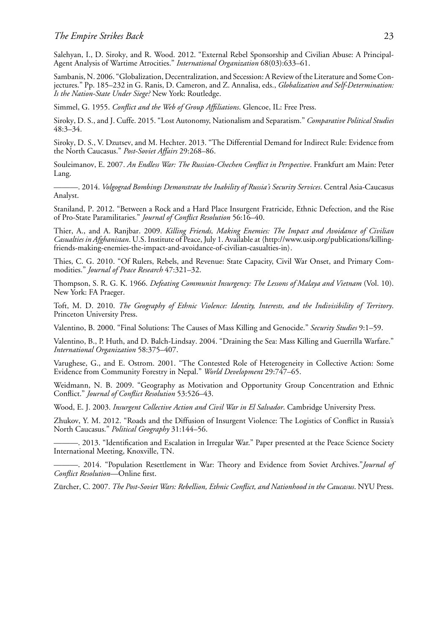Salehyan, I., D. Siroky, and R. Wood. 2012. "External Rebel Sponsorship and Civilian Abuse: A Principal-Agent Analysis of Wartime Atrocities." *International Organization* 68(03):633–61.

Sambanis, N. 2006. "Globalization, Decentralization, and Secession: A Review of the Literature and Some Conjectures." Pp. 185–232 in G. Ranis, D. Cameron, and Z. Annalisa, eds., *Globalization and Self-Determination: Is the Nation-State Under Siege?* New York: Routledge.

Simmel, G. 1955. *Conflict and the Web of Group Affiliations*. Glencoe, IL: Free Press.

Siroky, D. S., and J. Cuffe. 2015. "Lost Autonomy, Nationalism and Separatism." *Comparative Political Studies* 48:3–34.

Siroky, D. S., V. Dzutsev, and M. Hechter. 2013. "The Differential Demand for Indirect Rule: Evidence from the North Caucasus." *Post-Soviet Affairs* 29:268–86.

Souleimanov, E. 2007. *An Endless War: The Russian-Chechen Conflict in Perspective*. Frankfurt am Main: Peter Lang.

———. 2014. *Volgograd Bombings Demonstrate the Inability of Russia's Security Services*. Central Asia-Caucasus Analyst.

Staniland, P. 2012. "Between a Rock and a Hard Place Insurgent Fratricide, Ethnic Defection, and the Rise of Pro-State Paramilitaries." *Journal of Conflict Resolution* 56:16–40.

Thier, A., and A. Ranjbar. 2009. *Killing Friends, Making Enemies: The Impact and Avoidance of Civilian* Casualties in Afghanistan. U.S. Institute of Peace, July 1. Available at (http://www.usip.org/publications/killingfriends-making-enemies-the-impact-and-avoidance-of-civilian-casualties-in).

Thies, C. G. 2010. "Of Rulers, Rebels, and Revenue: State Capacity, Civil War Onset, and Primary Commodities." *Journal of Peace Research* 47:321–32.

Thompson, S. R. G. K. 1966. *Defeating Communist Insurgency: The Lessons of Malaya and Vietnam* (Vol. 10). New York: FA Praeger.

Toft, M. D. 2010. *The Geography of Ethnic Violence: Identity, Interests, and the Indivisibility of Territory*. Princeton University Press.

Valentino, B. 2000. "Final Solutions: The Causes of Mass Killing and Genocide." *Security Studies* 9:1–59.

Valentino, B., P. Huth, and D. Balch-Lindsay. 2004. "Draining the Sea: Mass Killing and Guerrilla Warfare." *International Organization* 58:375–407.

Varughese, G., and E. Ostrom. 2001. "The Contested Role of Heterogeneity in Collective Action: Some Evidence from Community Forestry in Nepal." *World Development* 29:747–65.

Weidmann, N. B. 2009. "Geography as Motivation and Opportunity Group Concentration and Ethnic Conflict." *Journal of Conflict Resolution* 53:526–43.

Wood, E. J. 2003. *Insurgent Collective Action and Civil War in El Salvador*. Cambridge University Press.

Zhukov, Y. M. 2012. "Roads and the Diffusion of Insurgent Violence: The Logistics of Conflict in Russia's North Caucasus." *Political Geography* 31:144–56.

———. 2013. "Identification and Escalation in Irregular War." Paper presented at the Peace Science Society International Meeting, Knoxville, TN.

———. 2014. "Population Resettlement in War: Theory and Evidence from Soviet Archives."*Journal of Conflict Resolution—*Online first.

Zürcher, C. 2007. The Post-Soviet Wars: Rebellion, Ethnic Conflict, and Nationhood in the Caucasus. NYU Press.